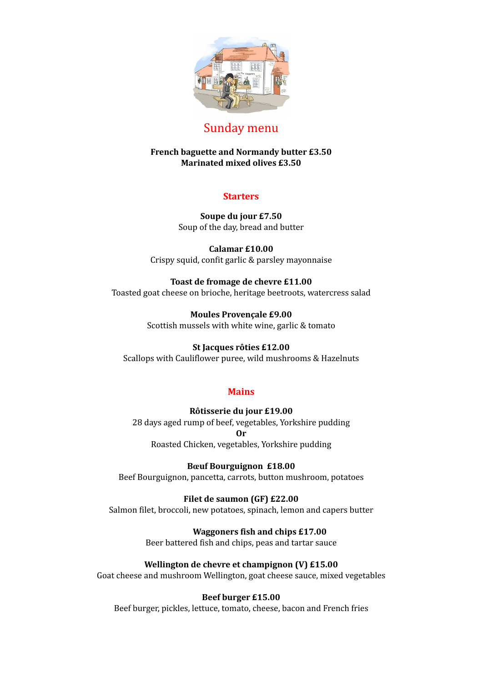

# Sunday menu

# **French baguette and Normandy butter £3.50 Marinated mixed olives £3.50**

# **Starters**

**Soupe du jour £7.50** Soup of the day, bread and butter

**Calamar £10.00** Crispy squid, confit garlic & parsley mayonnaise

#### **Toast de fromage de chevre £11.00**

Toasted goat cheese on brioche, heritage beetroots, watercress salad

**Moules Provençale £9.00** Scottish mussels with white wine, garlic & tomato

# **St Jacques rôties £12.00**

Scallops with Cauliflower puree, wild mushrooms & Hazelnuts

# **Mains**

#### **Rôtisserie du jour £19.00**

28 days aged rump of beef, vegetables, Yorkshire pudding **Or**

Roasted Chicken, vegetables, Yorkshire pudding

# **Bœuf Bourguignon £18.00**

Beef Bourguignon, pancetta, carrots, button mushroom, potatoes

# **Filet de saumon (GF) £22.00**

Salmon filet, broccoli, new potatoes, spinach, lemon and capers butter

**Waggoners fish and chips £17.00** Beer battered fish and chips, peas and tartar sauce

**Wellington de chevre et champignon (V) £15.00**

Goat cheese and mushroom Wellington, goat cheese sauce, mixed vegetables

# **Beef burger £15.00**

Beef burger, pickles, lettuce, tomato, cheese, bacon and French fries